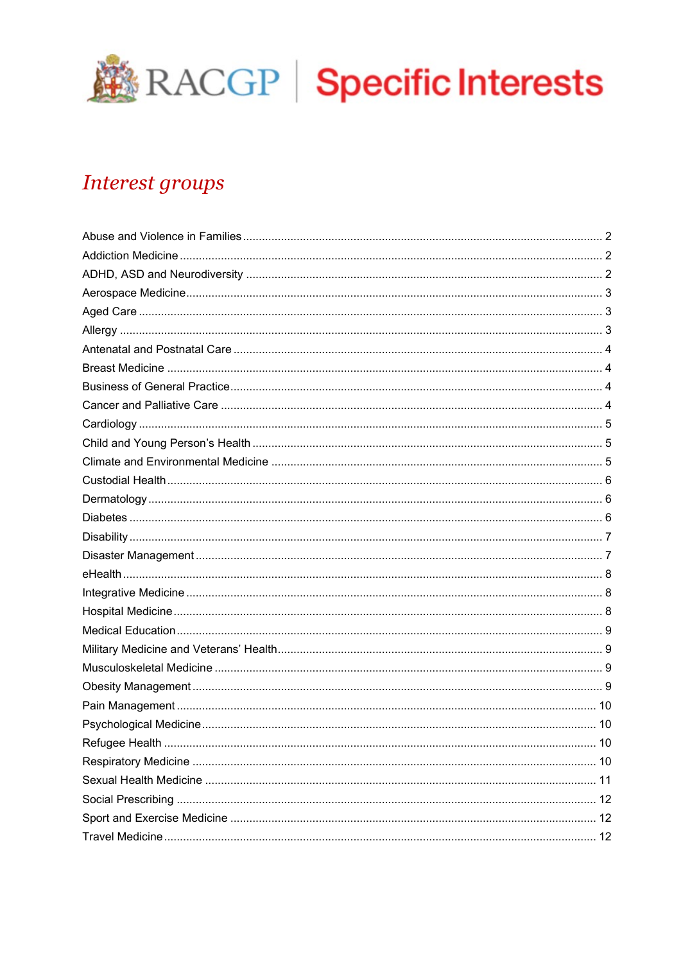

# **Interest groups**

| .10 |
|-----|
|     |
|     |
|     |
|     |
|     |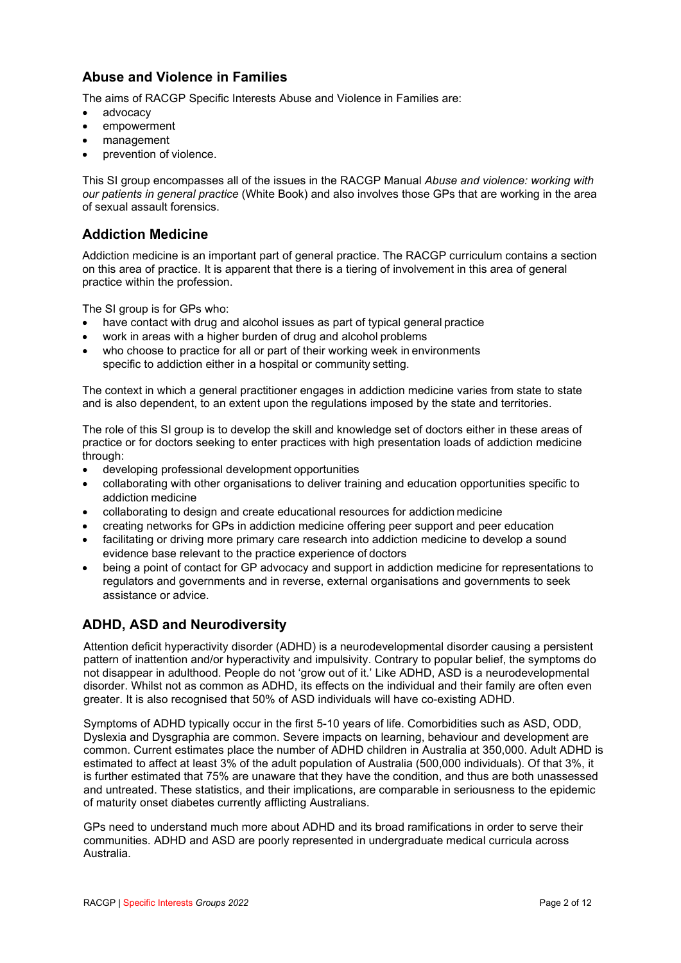# <span id="page-1-0"></span>**Abuse and Violence in Families**

The aims of RACGP Specific Interests Abuse and Violence in Families are:

- advocacy
- empowerment
- management
- prevention of violence.

This SI group encompasses all of the issues in the RACGP Manual *Abuse and violence: working with our patients in general practice* (White Book) and also involves those GPs that are working in the area of sexual assault forensics.

### <span id="page-1-1"></span>**Addiction Medicine**

Addiction medicine is an important part of general practice. The RACGP curriculum contains a section on this area of practice. It is apparent that there is a tiering of involvement in this area of general practice within the profession.

The SI group is for GPs who:

- have contact with drug and alcohol issues as part of typical general practice
- work in areas with a higher burden of drug and alcohol problems
- who choose to practice for all or part of their working week in environments specific to addiction either in a hospital or community setting.

The context in which a general practitioner engages in addiction medicine varies from state to state and is also dependent, to an extent upon the regulations imposed by the state and territories.

The role of this SI group is to develop the skill and knowledge set of doctors either in these areas of practice or for doctors seeking to enter practices with high presentation loads of addiction medicine through:

- developing professional development opportunities
- collaborating with other organisations to deliver training and education opportunities specific to addiction medicine
- collaborating to design and create educational resources for addiction medicine
- creating networks for GPs in addiction medicine offering peer support and peer education
- facilitating or driving more primary care research into addiction medicine to develop a sound evidence base relevant to the practice experience of doctors
- being a point of contact for GP advocacy and support in addiction medicine for representations to regulators and governments and in reverse, external organisations and governments to seek assistance or advice.

# <span id="page-1-2"></span>**ADHD, ASD and Neurodiversity**

Attention deficit hyperactivity disorder (ADHD) is a neurodevelopmental disorder causing a persistent pattern of inattention and/or hyperactivity and impulsivity. Contrary to popular belief, the symptoms do not disappear in adulthood. People do not 'grow out of it.' Like ADHD, ASD is a neurodevelopmental disorder. Whilst not as common as ADHD, its effects on the individual and their family are often even greater. It is also recognised that 50% of ASD individuals will have co-existing ADHD.

Symptoms of ADHD typically occur in the first 5-10 years of life. Comorbidities such as ASD, ODD, Dyslexia and Dysgraphia are common. Severe impacts on learning, behaviour and development are common. Current estimates place the number of ADHD children in Australia at 350,000. Adult ADHD is estimated to affect at least 3% of the adult population of Australia (500,000 individuals). Of that 3%, it is further estimated that 75% are unaware that they have the condition, and thus are both unassessed and untreated. These statistics, and their implications, are comparable in seriousness to the epidemic of maturity onset diabetes currently afflicting Australians.

GPs need to understand much more about ADHD and its broad ramifications in order to serve their communities. ADHD and ASD are poorly represented in undergraduate medical curricula across Australia.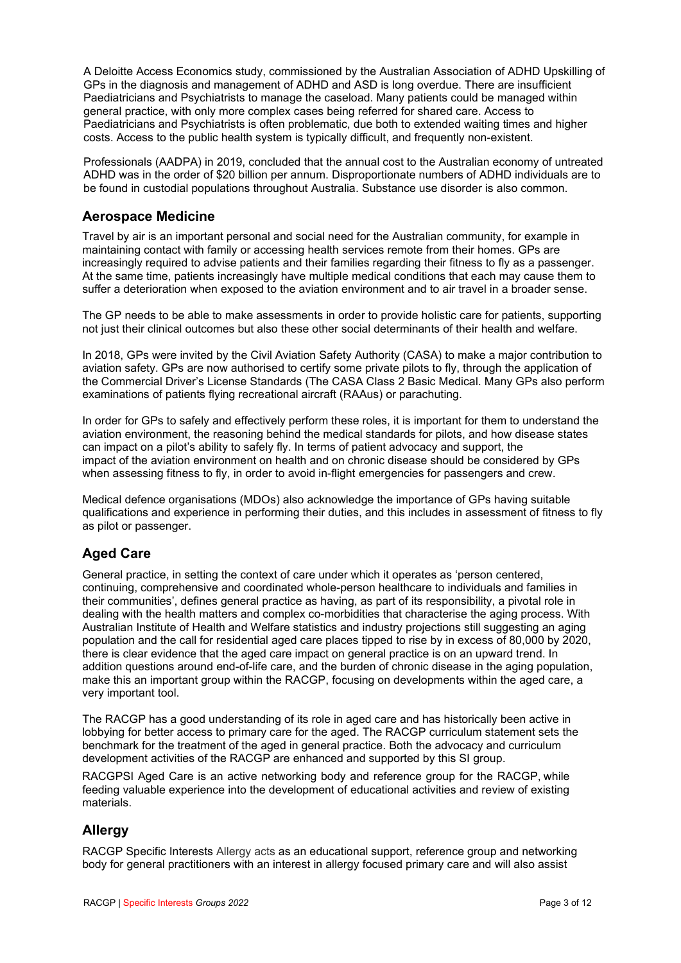A Deloitte Access Economics study, commissioned by the Australian Association of ADHD Upskilling of GPs in the diagnosis and management of ADHD and ASD is long overdue. There are insufficient Paediatricians and Psychiatrists to manage the caseload. Many patients could be managed within general practice, with only more complex cases being referred for shared care. Access to Paediatricians and Psychiatrists is often problematic, due both to extended waiting times and higher costs. Access to the public health system is typically difficult, and frequently non-existent.

Professionals (AADPA) in 2019, concluded that the annual cost to the Australian economy of untreated ADHD was in the order of \$20 billion per annum. Disproportionate numbers of ADHD individuals are to be found in custodial populations throughout Australia. Substance use disorder is also common.

#### <span id="page-2-0"></span>**Aerospace Medicine**

Travel by air is an important personal and social need for the Australian community, for example in maintaining contact with family or accessing health services remote from their homes. GPs are increasingly required to advise patients and their families regarding their fitness to fly as a passenger. At the same time, patients increasingly have multiple medical conditions that each may cause them to suffer a deterioration when exposed to the aviation environment and to air travel in a broader sense.

The GP needs to be able to make assessments in order to provide holistic care for patients, supporting not just their clinical outcomes but also these other social determinants of their health and welfare.

In 2018, GPs were invited by the Civil Aviation Safety Authority (CASA) to make a major contribution to aviation safety. GPs are now authorised to certify some private pilots to fly, through the application of the Commercial Driver's License Standards (The CASA Class 2 Basic Medical. Many GPs also perform examinations of patients flying recreational aircraft (RAAus) or parachuting.

In order for GPs to safely and effectively perform these roles, it is important for them to understand the aviation environment, the reasoning behind the medical standards for pilots, and how disease states can impact on a pilot's ability to safely fly. In terms of patient advocacy and support, the impact of the aviation environment on health and on chronic disease should be considered by GPs when assessing fitness to fly, in order to avoid in-flight emergencies for passengers and crew.

Medical defence organisations (MDOs) also acknowledge the importance of GPs having suitable qualifications and experience in performing their duties, and this includes in assessment of fitness to fly as pilot or passenger.

# <span id="page-2-1"></span>**Aged Care**

General practice, in setting the context of care under which it operates as 'person centered, continuing, comprehensive and coordinated whole-person healthcare to individuals and families in their communities', defines general practice as having, as part of its responsibility, a pivotal role in dealing with the health matters and complex co-morbidities that characterise the aging process. With Australian Institute of Health and Welfare statistics and industry projections still suggesting an aging population and the call for residential aged care places tipped to rise by in excess of 80,000 by 2020, there is clear evidence that the aged care impact on general practice is on an upward trend. In addition questions around end-of-life care, and the burden of chronic disease in the aging population, make this an important group within the RACGP, focusing on developments within the aged care, a very important tool.

The RACGP has a good understanding of its role in aged care and has historically been active in lobbying for better access to primary care for the aged. The RACGP curriculum statement sets the benchmark for the treatment of the aged in general practice. Both the advocacy and curriculum development activities of the RACGP are enhanced and supported by this SI group.

RACGPSI Aged Care is an active networking body and reference group for the RACGP, while feeding valuable experience into the development of educational activities and review of existing materials.

# <span id="page-2-2"></span>**Allergy**

RACGP Specific Interests Allergy acts as an educational support, reference group and networking body for general practitioners with an interest in allergy focused primary care and will also assist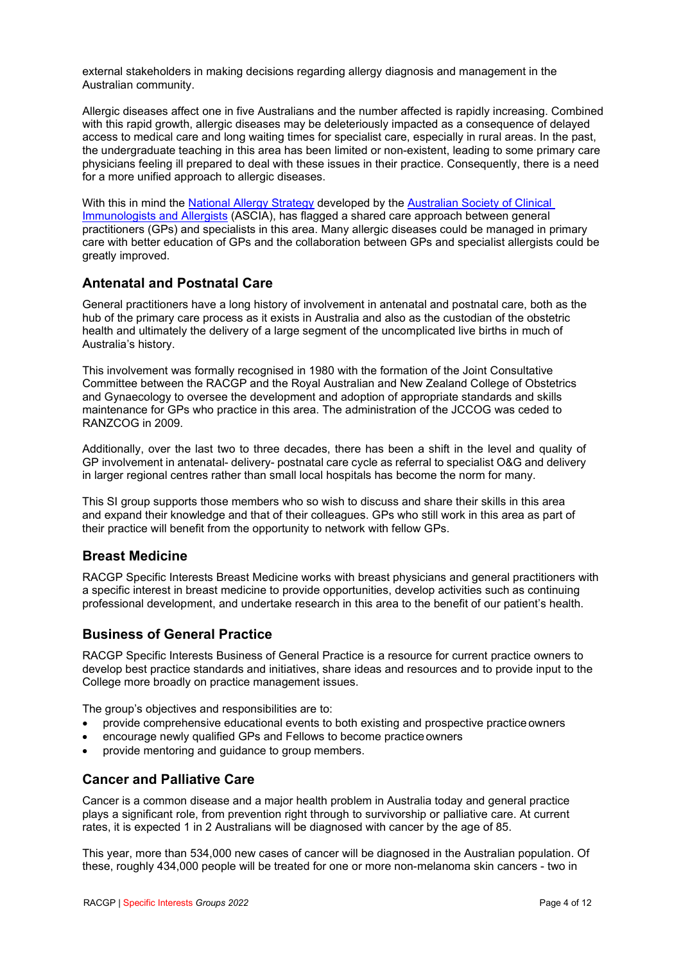external stakeholders in making decisions regarding allergy diagnosis and management in the Australian community.

Allergic diseases affect one in five Australians and the number affected is rapidly increasing. Combined with this rapid growth, allergic diseases may be deleteriously impacted as a consequence of delayed access to medical care and long waiting times for specialist care, especially in rural areas. In the past, the undergraduate teaching in this area has been limited or non-existent, leading to some primary care physicians feeling ill prepared to deal with these issues in their practice. Consequently, there is a need for a more unified approach to allergic diseases.

With this in mind the [National Allergy Strategy](http://www.nationalallergystrategy.org.au/) developed by the [Australian Society of Clinical](https://www.allergy.org.au/)  [Immunologists and Allergists](https://www.allergy.org.au/) (ASCIA), has flagged a shared care approach between general practitioners (GPs) and specialists in this area. Many allergic diseases could be managed in primary care with better education of GPs and the collaboration between GPs and specialist allergists could be greatly improved.

#### <span id="page-3-0"></span>**Antenatal and Postnatal Care**

General practitioners have a long history of involvement in antenatal and postnatal care, both as the hub of the primary care process as it exists in Australia and also as the custodian of the obstetric health and ultimately the delivery of a large segment of the uncomplicated live births in much of Australia's history.

This involvement was formally recognised in 1980 with the formation of the Joint Consultative Committee between the RACGP and the Royal Australian and New Zealand College of Obstetrics and Gynaecology to oversee the development and adoption of appropriate standards and skills maintenance for GPs who practice in this area. The administration of the JCCOG was ceded to RANZCOG in 2009.

Additionally, over the last two to three decades, there has been a shift in the level and quality of GP involvement in antenatal- delivery- postnatal care cycle as referral to specialist O&G and delivery in larger regional centres rather than small local hospitals has become the norm for many.

This SI group supports those members who so wish to discuss and share their skills in this area and expand their knowledge and that of their colleagues. GPs who still work in this area as part of their practice will benefit from the opportunity to network with fellow GPs.

#### <span id="page-3-1"></span>**Breast Medicine**

RACGP Specific Interests Breast Medicine works with breast physicians and general practitioners with a specific interest in breast medicine to provide opportunities, develop activities such as continuing professional development, and undertake research in this area to the benefit of our patient's health.

# <span id="page-3-2"></span>**Business of General Practice**

RACGP Specific Interests Business of General Practice is a resource for current practice owners to develop best practice standards and initiatives, share ideas and resources and to provide input to the College more broadly on practice management issues.

The group's objectives and responsibilities are to:

- provide comprehensive educational events to both existing and prospective practice owners
- encourage newly qualified GPs and Fellows to become practice owners
- provide mentoring and guidance to group members.

#### <span id="page-3-3"></span>**Cancer and Palliative Care**

Cancer is a common disease and a major health problem in Australia today and general practice plays a significant role, from prevention right through to survivorship or palliative care. At current rates, it is expected 1 in 2 Australians will be diagnosed with cancer by the age of 85.

This year, more than 534,000 new cases of cancer will be diagnosed in the Australian population. Of these, roughly 434,000 people will be treated for one or more non-melanoma skin cancers - two in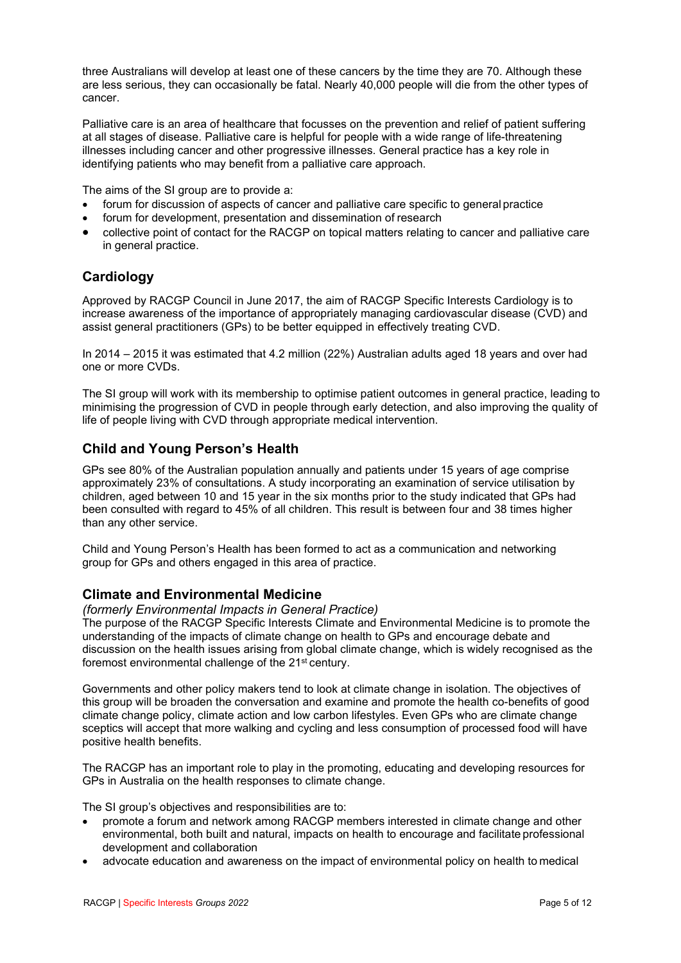three Australians will develop at least one of these cancers by the time they are 70. Although these are less serious, they can occasionally be fatal. Nearly 40,000 people will die from the other types of cancer.

Palliative care is an area of healthcare that focusses on the prevention and relief of patient suffering at all stages of disease. Palliative care is helpful for people with a wide range of life-threatening illnesses including cancer and other progressive illnesses. General practice has a key role in identifying patients who may benefit from a palliative care approach.

The aims of the SI group are to provide a:

- forum for discussion of aspects of cancer and palliative care specific to general practice
- forum for development, presentation and dissemination of research
- collective point of contact for the RACGP on topical matters relating to cancer and palliative care in general practice.

# <span id="page-4-0"></span>**Cardiology**

Approved by RACGP Council in June 2017, the aim of RACGP Specific Interests Cardiology is to increase awareness of the importance of appropriately managing cardiovascular disease (CVD) and assist general practitioners (GPs) to be better equipped in effectively treating CVD.

In 2014 – 2015 it was estimated that 4.2 million (22%) Australian adults aged 18 years and over had one or more CVDs.

The SI group will work with its membership to optimise patient outcomes in general practice, leading to minimising the progression of CVD in people through early detection, and also improving the quality of life of people living with CVD through appropriate medical intervention.

# <span id="page-4-1"></span>**Child and Young Person's Health**

GPs see 80% of the Australian population annually and patients under 15 years of age comprise approximately 23% of consultations. A study incorporating an examination of service utilisation by children, aged between 10 and 15 year in the six months prior to the study indicated that GPs had been consulted with regard to 45% of all children. This result is between four and 38 times higher than any other service.

Child and Young Person's Health has been formed to act as a communication and networking group for GPs and others engaged in this area of practice.

#### <span id="page-4-2"></span>**Climate and Environmental Medicine**

#### *(formerly Environmental Impacts in General Practice)*

The purpose of the RACGP Specific Interests Climate and Environmental Medicine is to promote the understanding of the impacts of climate change on health to GPs and encourage debate and discussion on the health issues arising from global climate change, which is widely recognised as the foremost environmental challenge of the 21st century.

Governments and other policy makers tend to look at climate change in isolation. The objectives of this group will be broaden the conversation and examine and promote the health co-benefits of good climate change policy, climate action and low carbon lifestyles. Even GPs who are climate change sceptics will accept that more walking and cycling and less consumption of processed food will have positive health benefits.

The RACGP has an important role to play in the promoting, educating and developing resources for GPs in Australia on the health responses to climate change.

The SI group's objectives and responsibilities are to:

- promote a forum and network among RACGP members interested in climate change and other environmental, both built and natural, impacts on health to encourage and facilitate professional development and collaboration
- advocate education and awareness on the impact of environmental policy on health to medical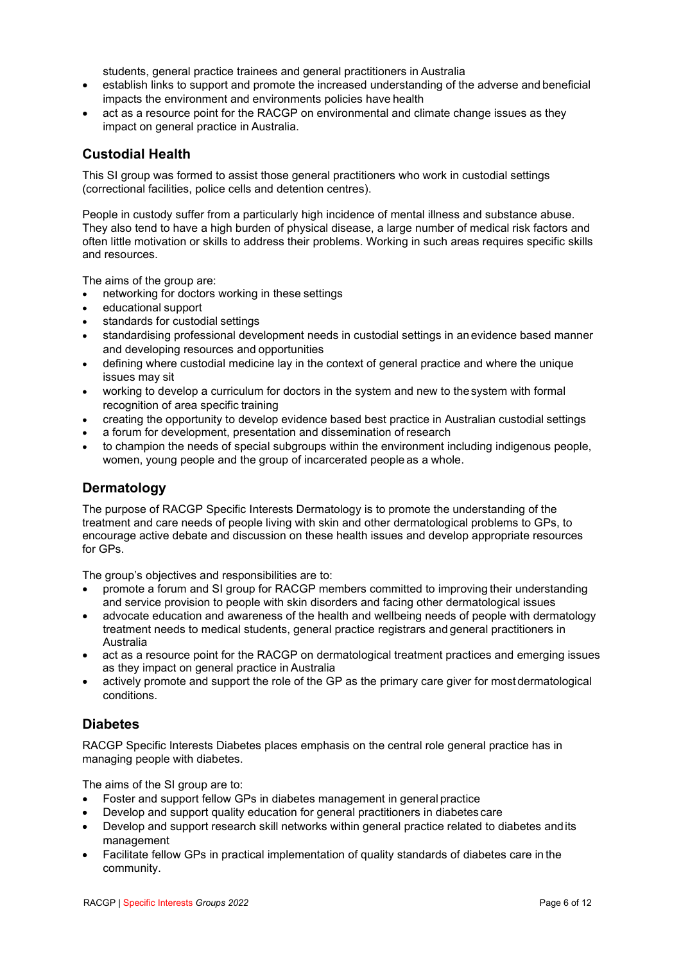students, general practice trainees and general practitioners in Australia

- establish links to support and promote the increased understanding of the adverse and beneficial impacts the environment and environments policies have health
- act as a resource point for the RACGP on environmental and climate change issues as they impact on general practice in Australia.

### <span id="page-5-0"></span>**Custodial Health**

This SI group was formed to assist those general practitioners who work in custodial settings (correctional facilities, police cells and detention centres).

People in custody suffer from a particularly high incidence of mental illness and substance abuse. They also tend to have a high burden of physical disease, a large number of medical risk factors and often little motivation or skills to address their problems. Working in such areas requires specific skills and resources.

The aims of the group are:

- networking for doctors working in these settings
- educational support
- standards for custodial settings
- standardising professional development needs in custodial settings in an evidence based manner and developing resources and opportunities
- defining where custodial medicine lay in the context of general practice and where the unique issues may sit
- working to develop a curriculum for doctors in the system and new to thesystem with formal recognition of area specific training
- creating the opportunity to develop evidence based best practice in Australian custodial settings
- a forum for development, presentation and dissemination of research
- to champion the needs of special subgroups within the environment including indigenous people, women, young people and the group of incarcerated people as a whole.

### <span id="page-5-1"></span>**Dermatology**

The purpose of RACGP Specific Interests Dermatology is to promote the understanding of the treatment and care needs of people living with skin and other dermatological problems to GPs, to encourage active debate and discussion on these health issues and develop appropriate resources for GPs.

The group's objectives and responsibilities are to:

- promote a forum and SI group for RACGP members committed to improving their understanding and service provision to people with skin disorders and facing other dermatological issues
- advocate education and awareness of the health and wellbeing needs of people with dermatology treatment needs to medical students, general practice registrars and general practitioners in Australia
- act as a resource point for the RACGP on dermatological treatment practices and emerging issues as they impact on general practice in Australia
- actively promote and support the role of the GP as the primary care giver for most dermatological conditions.

#### <span id="page-5-2"></span>**Diabetes**

RACGP Specific Interests Diabetes places emphasis on the central role general practice has in managing people with diabetes.

The aims of the SI group are to:

- Foster and support fellow GPs in diabetes management in general practice
- Develop and support quality education for general practitioners in diabetes care
- Develop and support research skill networks within general practice related to diabetes andits management
- Facilitate fellow GPs in practical implementation of quality standards of diabetes care in the community.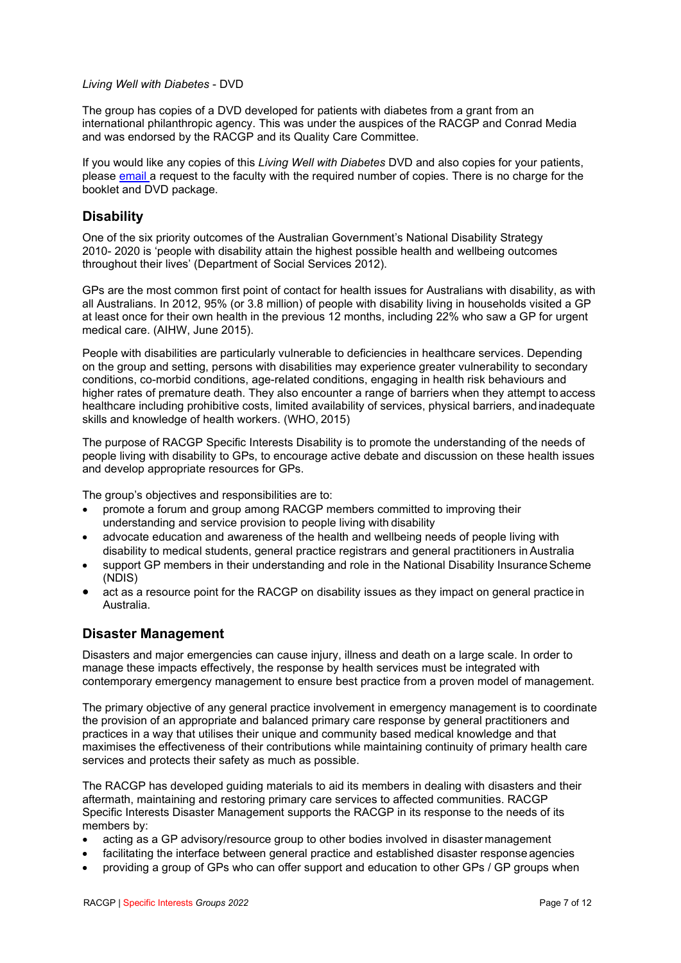#### *Living Well with Diabetes* - DVD

The group has copies of a DVD developed for patients with diabetes from a grant from an international philanthropic agency. This was under the auspices of the RACGP and Conrad Media and was endorsed by the RACGP and its Quality Care Committee.

If you would like any copies of this *Living Well with Diabetes* DVD and also copies for your patients, please [email a](mailto:nfsi@racgp.org.au) request to the faculty with the required number of copies. There is no charge for the booklet and DVD package.

#### <span id="page-6-0"></span>**Disability**

One of the six priority outcomes of the Australian Government's National Disability Strategy 2010- 2020 is 'people with disability attain the highest possible health and wellbeing outcomes throughout their lives' (Department of Social Services 2012).

GPs are the most common first point of contact for health issues for Australians with disability, as with all Australians. In 2012, 95% (or 3.8 million) of people with disability living in households visited a GP at least once for their own health in the previous 12 months, including 22% who saw a GP for urgent medical care. (AIHW, June 2015).

People with disabilities are particularly vulnerable to deficiencies in healthcare services. Depending on the group and setting, persons with disabilities may experience greater vulnerability to secondary conditions, co-morbid conditions, age-related conditions, engaging in health risk behaviours and higher rates of premature death. They also encounter a range of barriers when they attempt to access healthcare including prohibitive costs, limited availability of services, physical barriers, andinadequate skills and knowledge of health workers. (WHO, 2015)

The purpose of RACGP Specific Interests Disability is to promote the understanding of the needs of people living with disability to GPs, to encourage active debate and discussion on these health issues and develop appropriate resources for GPs.

The group's objectives and responsibilities are to:

- promote a forum and group among RACGP members committed to improving their understanding and service provision to people living with disability
- advocate education and awareness of the health and wellbeing needs of people living with disability to medical students, general practice registrars and general practitioners inAustralia
- support GP members in their understanding and role in the National Disability Insurance Scheme (NDIS)
- act as a resource point for the RACGP on disability issues as they impact on general practice in Australia.

# <span id="page-6-1"></span>**Disaster Management**

Disasters and major emergencies can cause injury, illness and death on a large scale. In order to manage these impacts effectively, the response by health services must be integrated with contemporary emergency management to ensure best practice from a proven model of management.

The primary objective of any general practice involvement in emergency management is to coordinate the provision of an appropriate and balanced primary care response by general practitioners and practices in a way that utilises their unique and community based medical knowledge and that maximises the effectiveness of their contributions while maintaining continuity of primary health care services and protects their safety as much as possible.

The RACGP has developed guiding materials to aid its members in dealing with disasters and their aftermath, maintaining and restoring primary care services to affected communities. RACGP Specific Interests Disaster Management supports the RACGP in its response to the needs of its members by:

- acting as a GP advisory/resource group to other bodies involved in disaster management
- facilitating the interface between general practice and established disaster response agencies
- providing a group of GPs who can offer support and education to other GPs / GP groups when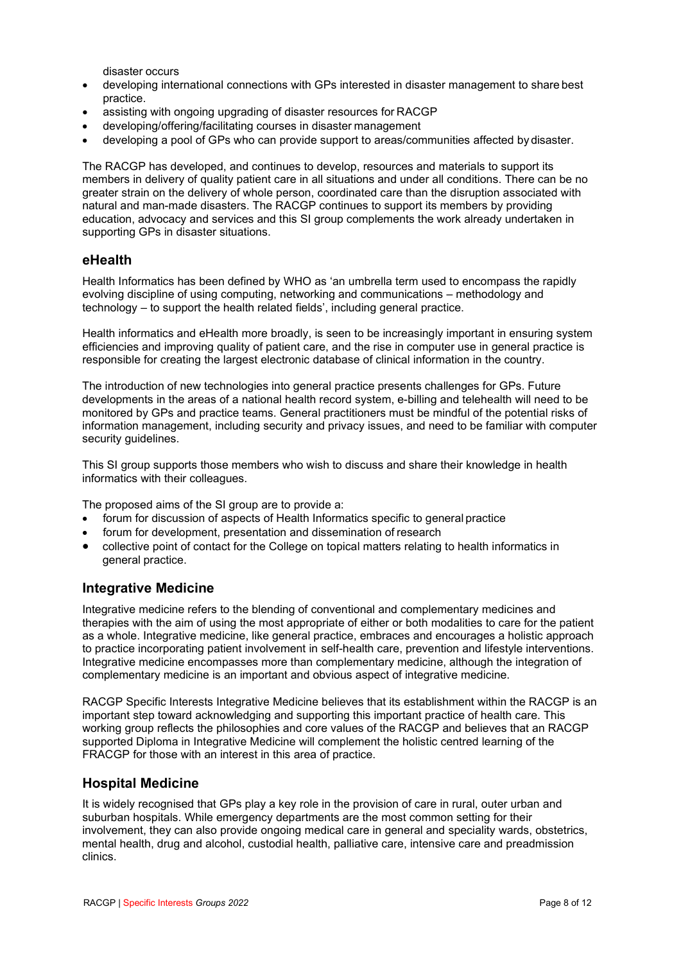disaster occurs

- developing international connections with GPs interested in disaster management to share best practice.
- assisting with ongoing upgrading of disaster resources for RACGP
- developing/offering/facilitating courses in disaster management
- developing a pool of GPs who can provide support to areas/communities affected by disaster.

The RACGP has developed, and continues to develop, resources and materials to support its members in delivery of quality patient care in all situations and under all conditions. There can be no greater strain on the delivery of whole person, coordinated care than the disruption associated with natural and man-made disasters. The RACGP continues to support its members by providing education, advocacy and services and this SI group complements the work already undertaken in supporting GPs in disaster situations.

#### <span id="page-7-0"></span>**eHealth**

Health Informatics has been defined by WHO as 'an umbrella term used to encompass the rapidly evolving discipline of using computing, networking and communications – methodology and technology – to support the health related fields', including general practice.

Health informatics and eHealth more broadly, is seen to be increasingly important in ensuring system efficiencies and improving quality of patient care, and the rise in computer use in general practice is responsible for creating the largest electronic database of clinical information in the country.

The introduction of new technologies into general practice presents challenges for GPs. Future developments in the areas of a national health record system, e-billing and telehealth will need to be monitored by GPs and practice teams. General practitioners must be mindful of the potential risks of information management, including security and privacy issues, and need to be familiar with computer security guidelines.

This SI group supports those members who wish to discuss and share their knowledge in health informatics with their colleagues.

The proposed aims of the SI group are to provide a:

- forum for discussion of aspects of Health Informatics specific to general practice
- forum for development, presentation and dissemination of research
- collective point of contact for the College on topical matters relating to health informatics in general practice.

#### <span id="page-7-1"></span>**Integrative Medicine**

Integrative medicine refers to the blending of conventional and complementary medicines and therapies with the aim of using the most appropriate of either or both modalities to care for the patient as a whole. Integrative medicine, like general practice, embraces and encourages a holistic approach to practice incorporating patient involvement in self-health care, prevention and lifestyle interventions. Integrative medicine encompasses more than complementary medicine, although the integration of complementary medicine is an important and obvious aspect of integrative medicine.

RACGP Specific Interests Integrative Medicine believes that its establishment within the RACGP is an important step toward acknowledging and supporting this important practice of health care. This working group reflects the philosophies and core values of the RACGP and believes that an RACGP supported Diploma in Integrative Medicine will complement the holistic centred learning of the FRACGP for those with an interest in this area of practice.

#### <span id="page-7-2"></span>**Hospital Medicine**

It is widely recognised that GPs play a key role in the provision of care in rural, outer urban and suburban hospitals. While emergency departments are the most common setting for their involvement, they can also provide ongoing medical care in general and speciality wards, obstetrics, mental health, drug and alcohol, custodial health, palliative care, intensive care and preadmission clinics.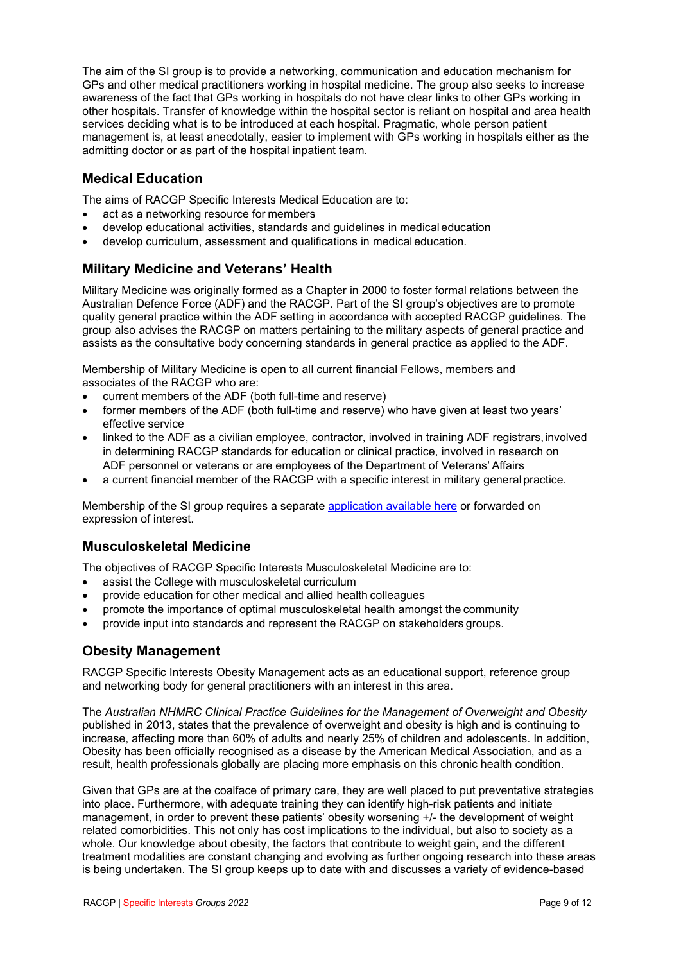The aim of the SI group is to provide a networking, communication and education mechanism for GPs and other medical practitioners working in hospital medicine. The group also seeks to increase awareness of the fact that GPs working in hospitals do not have clear links to other GPs working in other hospitals. Transfer of knowledge within the hospital sector is reliant on hospital and area health services deciding what is to be introduced at each hospital. Pragmatic, whole person patient management is, at least anecdotally, easier to implement with GPs working in hospitals either as the admitting doctor or as part of the hospital inpatient team.

# <span id="page-8-0"></span>**Medical Education**

The aims of RACGP Specific Interests Medical Education are to:

- act as a networking resource for members
- develop educational activities, standards and guidelines in medical education
- develop curriculum, assessment and qualifications in medical education.

# <span id="page-8-1"></span>**Military Medicine and Veterans' Health**

Military Medicine was originally formed as a Chapter in 2000 to foster formal relations between the Australian Defence Force (ADF) and the RACGP. Part of the SI group's objectives are to promote quality general practice within the ADF setting in accordance with accepted RACGP guidelines. The group also advises the RACGP on matters pertaining to the military aspects of general practice and assists as the consultative body concerning standards in general practice as applied to the ADF.

Membership of Military Medicine is open to all current financial Fellows, members and associates of the RACGP who are:

- current members of the ADF (both full-time and reserve)
- former members of the ADF (both full-time and reserve) who have given at least two years' effective service
- linked to the ADF as a civilian employee, contractor, involved in training ADF registrars, involved in determining RACGP standards for education or clinical practice, involved in research on ADF personnel or veterans or are employees of the Department of Veterans' Affairs
- a current financial member of the RACGP with a specific interest in military general practice.

Membership of the SI group requires a separate [application available here](https://racgp.au1.qualtrics.com/jfe/form/SV_abmBPP9SC2FoAZL) or forwarded on expression of interest.

# <span id="page-8-2"></span>**Musculoskeletal Medicine**

The objectives of RACGP Specific Interests Musculoskeletal Medicine are to:

- assist the College with musculoskeletal curriculum
- provide education for other medical and allied health colleagues
- promote the importance of optimal musculoskeletal health amongst the community
- provide input into standards and represent the RACGP on stakeholders groups.

# <span id="page-8-3"></span>**Obesity Management**

RACGP Specific Interests Obesity Management acts as an educational support, reference group and networking body for general practitioners with an interest in this area.

The *Australian NHMRC Clinical Practice Guidelines for the Management of Overweight and Obesity*  published in 2013, states that the prevalence of overweight and obesity is high and is continuing to increase, affecting more than 60% of adults and nearly 25% of children and adolescents. In addition, Obesity has been officially recognised as a disease by the American Medical Association, and as a result, health professionals globally are placing more emphasis on this chronic health condition.

Given that GPs are at the coalface of primary care, they are well placed to put preventative strategies into place. Furthermore, with adequate training they can identify high-risk patients and initiate management, in order to prevent these patients' obesity worsening +/- the development of weight related comorbidities. This not only has cost implications to the individual, but also to society as a whole. Our knowledge about obesity, the factors that contribute to weight gain, and the different treatment modalities are constant changing and evolving as further ongoing research into these areas is being undertaken. The SI group keeps up to date with and discusses a variety of evidence-based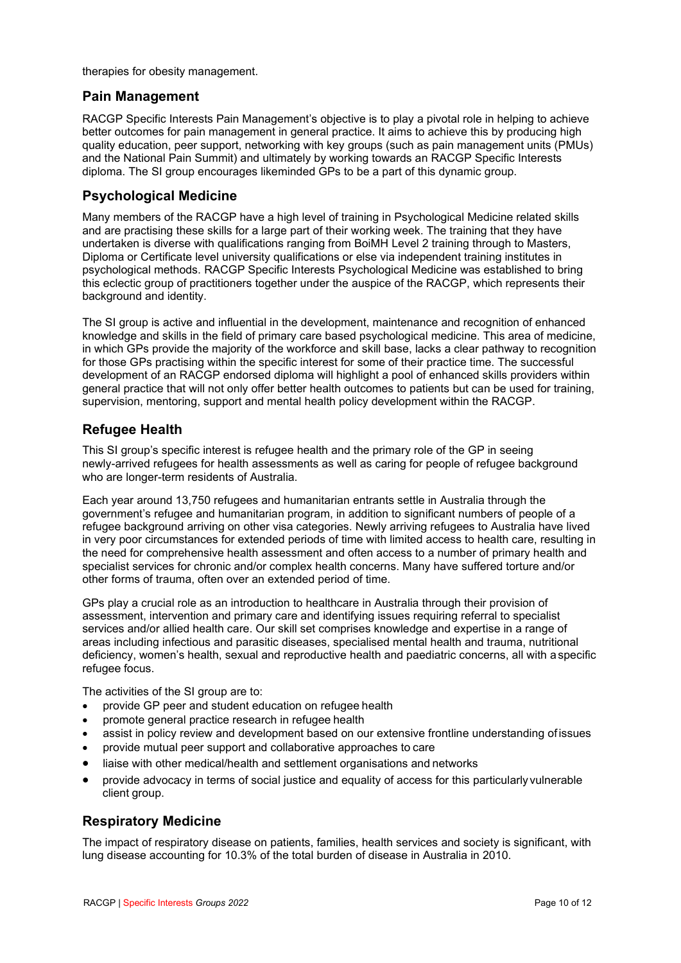therapies for obesity management.

#### <span id="page-9-0"></span>**Pain Management**

RACGP Specific Interests Pain Management's objective is to play a pivotal role in helping to achieve better outcomes for pain management in general practice. It aims to achieve this by producing high quality education, peer support, networking with key groups (such as pain management units (PMUs) and the National Pain Summit) and ultimately by working towards an RACGP Specific Interests diploma. The SI group encourages likeminded GPs to be a part of this dynamic group.

### <span id="page-9-1"></span>**Psychological Medicine**

Many members of the RACGP have a high level of training in Psychological Medicine related skills and are practising these skills for a large part of their working week. The training that they have undertaken is diverse with qualifications ranging from BoiMH Level 2 training through to Masters, Diploma or Certificate level university qualifications or else via independent training institutes in psychological methods. RACGP Specific Interests Psychological Medicine was established to bring this eclectic group of practitioners together under the auspice of the RACGP, which represents their background and identity.

The SI group is active and influential in the development, maintenance and recognition of enhanced knowledge and skills in the field of primary care based psychological medicine. This area of medicine, in which GPs provide the majority of the workforce and skill base, lacks a clear pathway to recognition for those GPs practising within the specific interest for some of their practice time. The successful development of an RACGP endorsed diploma will highlight a pool of enhanced skills providers within general practice that will not only offer better health outcomes to patients but can be used for training, supervision, mentoring, support and mental health policy development within the RACGP.

### <span id="page-9-2"></span>**Refugee Health**

This SI group's specific interest is refugee health and the primary role of the GP in seeing newly-arrived refugees for health assessments as well as caring for people of refugee background who are longer-term residents of Australia.

Each year around 13,750 refugees and humanitarian entrants settle in Australia through the government's refugee and humanitarian program, in addition to significant numbers of people of a refugee background arriving on other visa categories. Newly arriving refugees to Australia have lived in very poor circumstances for extended periods of time with limited access to health care, resulting in the need for comprehensive health assessment and often access to a number of primary health and specialist services for chronic and/or complex health concerns. Many have suffered torture and/or other forms of trauma, often over an extended period of time.

GPs play a crucial role as an introduction to healthcare in Australia through their provision of assessment, intervention and primary care and identifying issues requiring referral to specialist services and/or allied health care. Our skill set comprises knowledge and expertise in a range of areas including infectious and parasitic diseases, specialised mental health and trauma, nutritional deficiency, women's health, sexual and reproductive health and paediatric concerns, all with aspecific refugee focus.

The activities of the SI group are to:

- provide GP peer and student education on refugee health
- promote general practice research in refugee health
- assist in policy review and development based on our extensive frontline understanding ofissues
- provide mutual peer support and collaborative approaches to care
- liaise with other medical/health and settlement organisations and networks
- provide advocacy in terms of social justice and equality of access for this particularly vulnerable client group.

# <span id="page-9-3"></span>**Respiratory Medicine**

The impact of respiratory disease on patients, families, health services and society is significant, with lung disease accounting for 10.3% of the total burden of disease in Australia in 2010.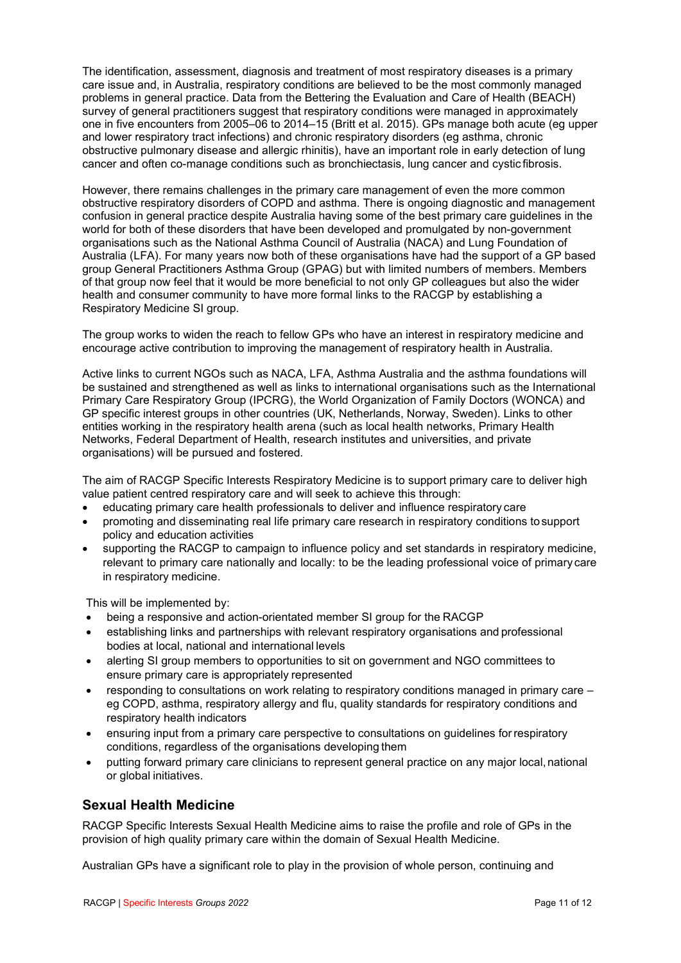The identification, assessment, diagnosis and treatment of most respiratory diseases is a primary care issue and, in Australia, respiratory conditions are believed to be the most commonly managed problems in general practice. Data from the Bettering the Evaluation and Care of Health (BEACH) survey of general practitioners suggest that respiratory conditions were managed in approximately one in five encounters from 2005–06 to 2014–15 (Britt et al. 2015). GPs manage both acute (eg upper and lower respiratory tract infections) and chronic respiratory disorders (eg asthma, chronic obstructive pulmonary disease and allergic rhinitis), have an important role in early detection of lung cancer and often co-manage conditions such as bronchiectasis, lung cancer and cystic fibrosis.

However, there remains challenges in the primary care management of even the more common obstructive respiratory disorders of COPD and asthma. There is ongoing diagnostic and management confusion in general practice despite Australia having some of the best primary care guidelines in the world for both of these disorders that have been developed and promulgated by non-government organisations such as the National Asthma Council of Australia (NACA) and Lung Foundation of Australia (LFA). For many years now both of these organisations have had the support of a GP based group General Practitioners Asthma Group (GPAG) but with limited numbers of members. Members of that group now feel that it would be more beneficial to not only GP colleagues but also the wider health and consumer community to have more formal links to the RACGP by establishing a Respiratory Medicine SI group.

The group works to widen the reach to fellow GPs who have an interest in respiratory medicine and encourage active contribution to improving the management of respiratory health in Australia.

Active links to current NGOs such as NACA, LFA, Asthma Australia and the asthma foundations will be sustained and strengthened as well as links to international organisations such as the International Primary Care Respiratory Group (IPCRG), the World Organization of Family Doctors (WONCA) and GP specific interest groups in other countries (UK, Netherlands, Norway, Sweden). Links to other entities working in the respiratory health arena (such as local health networks, Primary Health Networks, Federal Department of Health, research institutes and universities, and private organisations) will be pursued and fostered.

The aim of RACGP Specific Interests Respiratory Medicine is to support primary care to deliver high value patient centred respiratory care and will seek to achieve this through:

- educating primary care health professionals to deliver and influence respiratory care
- promoting and disseminating real life primary care research in respiratory conditions tosupport policy and education activities
- supporting the RACGP to campaign to influence policy and set standards in respiratory medicine, relevant to primary care nationally and locally: to be the leading professional voice of primary care in respiratory medicine.

This will be implemented by:

- being a responsive and action-orientated member SI group for the RACGP
- establishing links and partnerships with relevant respiratory organisations and professional bodies at local, national and international levels
- alerting SI group members to opportunities to sit on government and NGO committees to ensure primary care is appropriately represented
- responding to consultations on work relating to respiratory conditions managed in primary care eg COPD, asthma, respiratory allergy and flu, quality standards for respiratory conditions and respiratory health indicators
- ensuring input from a primary care perspective to consultations on guidelines for respiratory conditions, regardless of the organisations developing them
- putting forward primary care clinicians to represent general practice on any major local,national or global initiatives.

#### <span id="page-10-0"></span>**Sexual Health Medicine**

RACGP Specific Interests Sexual Health Medicine aims to raise the profile and role of GPs in the provision of high quality primary care within the domain of Sexual Health Medicine.

Australian GPs have a significant role to play in the provision of whole person, continuing and